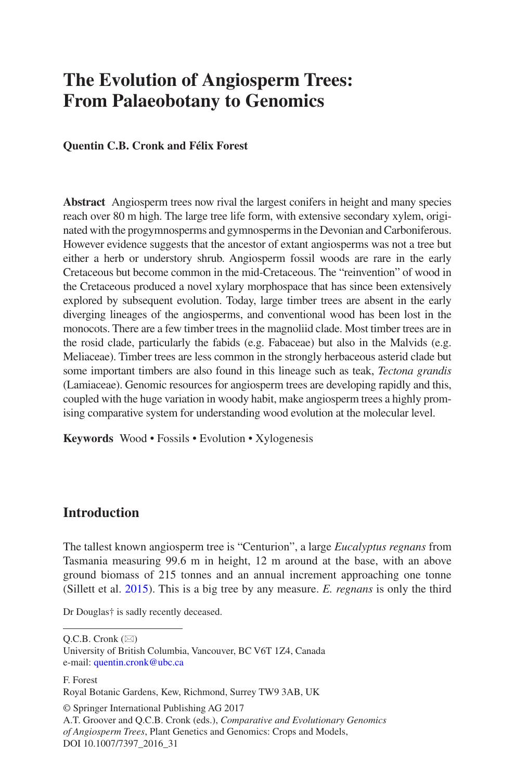# **The Evolution of Angiosperm Trees: From Palaeobotany to Genomics**

**Quentin C.B. Cronk and Félix Forest**

**Abstract** Angiosperm trees now rival the largest conifers in height and many species reach over 80 m high. The large tree life form, with extensive secondary xylem, originated with the progymnosperms and gymnosperms in the Devonian and Carboniferous. However evidence suggests that the ancestor of extant angiosperms was not a tree but either a herb or understory shrub. Angiosperm fossil woods are rare in the early Cretaceous but become common in the mid-Cretaceous. The "reinvention" of wood in the Cretaceous produced a novel xylary morphospace that has since been extensively explored by subsequent evolution. Today, large timber trees are absent in the early diverging lineages of the angiosperms, and conventional wood has been lost in the monocots. There are a few timber trees in the magnoliid clade. Most timber trees are in the rosid clade, particularly the fabids (e.g. Fabaceae) but also in the Malvids (e.g. Meliaceae). Timber trees are less common in the strongly herbaceous asterid clade but some important timbers are also found in this lineage such as teak, *Tectona grandis* (Lamiaceae). Genomic resources for angiosperm trees are developing rapidly and this, coupled with the huge variation in woody habit, make angiosperm trees a highly promising comparative system for understanding wood evolution at the molecular level.

**Keywords** Wood • Fossils • Evolution • Xylogenesis

## **Introduction**

The tallest known angiosperm tree is "Centurion", a large *Eucalyptus regnans* from Tasmania measuring 99.6 m in height, 12 m around at the base, with an above ground biomass of 215 tonnes and an annual increment approaching one tonne (Sillett et al. [2015\)](#page-15-0). This is a big tree by any measure. *E. regnans* is only the third

Dr Douglas† is sadly recently deceased.

 $Q.C.B.$  Cronk  $(\boxtimes)$ 

University of British Columbia, Vancouver, BC V6T 1Z4, Canada e-mail: [quentin.cronk@ubc.ca](mailto:quentin.cronk@ubc.ca)

F. Forest Royal Botanic Gardens, Kew, Richmond, Surrey TW9 3AB, UK

© Springer International Publishing AG 2017 A.T. Groover and Q.C.B. Cronk (eds.), *Comparative and Evolutionary Genomics of Angiosperm Trees*, Plant Genetics and Genomics: Crops and Models, DOI 10.1007/7397\_2016\_31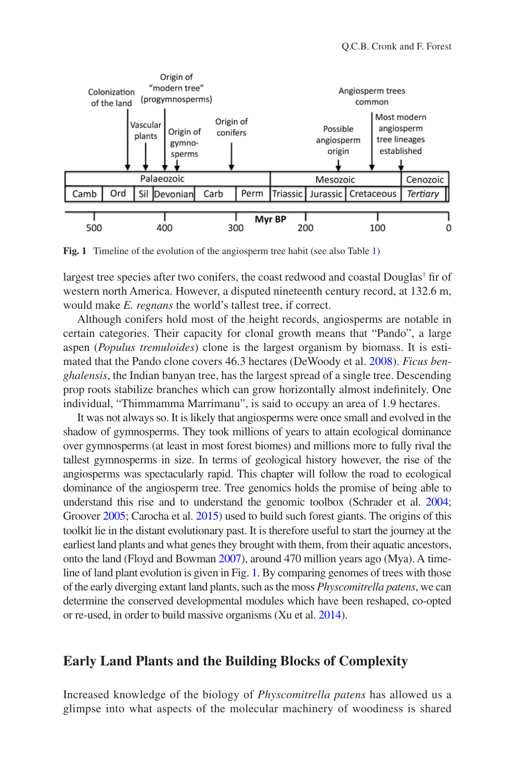<span id="page-1-0"></span>

Fig. 1 Timeline of the evolution of the angiosperm tree habit (see also Table [1\)](#page-8-0)

largest tree species after two conifers, the coast redwood and coastal Douglas† fir of western north America. However, a disputed nineteenth century record, at 132.6 m, would make *E. regnans* the world's tallest tree, if correct.

Although conifers hold most of the height records, angiosperms are notable in certain categories. Their capacity for clonal growth means that "Pando", a large aspen (*Populus tremuloides*) clone is the largest organism by biomass. It is estimated that the Pando clone covers 46.3 hectares (DeWoody et al. [2008](#page-14-0)). *Ficus benghalensis*, the Indian banyan tree, has the largest spread of a single tree. Descending prop roots stabilize branches which can grow horizontally almost indefinitely. One individual, "Thimmamma Marrimanu", is said to occupy an area of 1.9 hectares.

It was not always so. It is likely that angiosperms were once small and evolved in the shadow of gymnosperms. They took millions of years to attain ecological dominance over gymnosperms (at least in most forest biomes) and millions more to fully rival the tallest gymnosperms in size. In terms of geological history however, the rise of the angiosperms was spectacularly rapid. This chapter will follow the road to ecological dominance of the angiosperm tree. Tree genomics holds the promise of being able to understand this rise and to understand the genomic toolbox (Schrader et al. [2004;](#page-15-1) Groover [2005](#page-14-1); Carocha et al. [2015\)](#page-14-2) used to build such forest giants. The origins of this toolkit lie in the distant evolutionary past. It is therefore useful to start the journey at the earliest land plants and what genes they brought with them, from their aquatic ancestors, onto the land (Floyd and Bowman [2007\)](#page-14-3), around 470 million years ago (Mya). A timeline of land plant evolution is given in Fig. [1.](#page-1-0) By comparing genomes of trees with those of the early diverging extant land plants, such as the moss *Physcomitrella patens*, we can determine the conserved developmental modules which have been reshaped, co-opted or re-used, in order to build massive organisms (Xu et al. [2014](#page-16-0)).

### **Early Land Plants and the Building Blocks of Complexity**

Increased knowledge of the biology of *Physcomitrella patens* has allowed us a glimpse into what aspects of the molecular machinery of woodiness is shared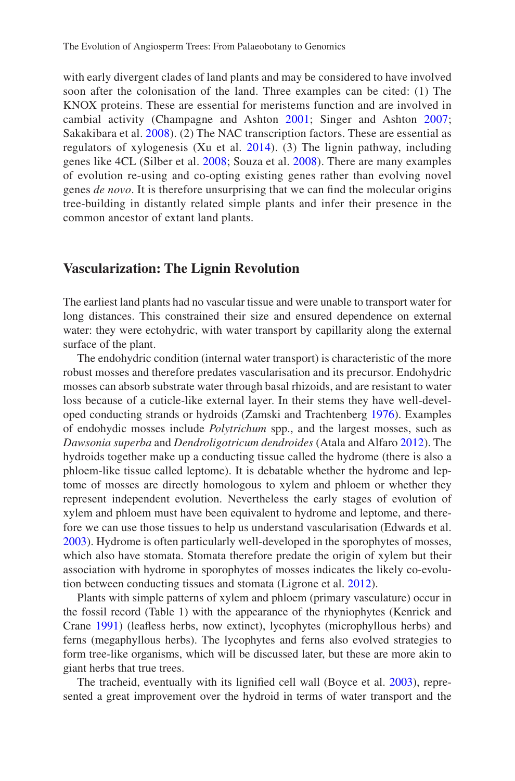with early divergent clades of land plants and may be considered to have involved soon after the colonisation of the land. Three examples can be cited: (1) The KNOX proteins. These are essential for meristems function and are involved in cambial activity (Champagne and Ashton [2001](#page-14-4); Singer and Ashton [2007;](#page-15-2) Sakakibara et al. [2008](#page-15-3)). (2) The NAC transcription factors. These are essential as regulators of xylogenesis (Xu et al. [2014](#page-16-0)). (3) The lignin pathway, including genes like 4CL (Silber et al. [2008;](#page-15-4) Souza et al. [2008\)](#page-16-1). There are many examples of evolution re-using and co-opting existing genes rather than evolving novel genes *de novo*. It is therefore unsurprising that we can find the molecular origins tree-building in distantly related simple plants and infer their presence in the common ancestor of extant land plants.

#### **Vascularization: The Lignin Revolution**

The earliest land plants had no vascular tissue and were unable to transport water for long distances. This constrained their size and ensured dependence on external water: they were ectohydric, with water transport by capillarity along the external surface of the plant.

The endohydric condition (internal water transport) is characteristic of the more robust mosses and therefore predates vascularisation and its precursor. Endohydric mosses can absorb substrate water through basal rhizoids, and are resistant to water loss because of a cuticle-like external layer. In their stems they have well-developed conducting strands or hydroids (Zamski and Trachtenberg [1976\)](#page-16-2). Examples of endohydic mosses include *Polytrichum* spp., and the largest mosses, such as *Dawsonia superba* and *Dendroligotricum dendroides* (Atala and Alfaro [2012\)](#page-13-0). The hydroids together make up a conducting tissue called the hydrome (there is also a phloem-like tissue called leptome). It is debatable whether the hydrome and leptome of mosses are directly homologous to xylem and phloem or whether they represent independent evolution. Nevertheless the early stages of evolution of xylem and phloem must have been equivalent to hydrome and leptome, and therefore we can use those tissues to help us understand vascularisation (Edwards et al. [2003](#page-14-5)). Hydrome is often particularly well-developed in the sporophytes of mosses, which also have stomata. Stomata therefore predate the origin of xylem but their association with hydrome in sporophytes of mosses indicates the likely co-evolution between conducting tissues and stomata (Ligrone et al. [2012](#page-15-5)).

Plants with simple patterns of xylem and phloem (primary vasculature) occur in the fossil record (Table 1) with the appearance of the rhyniophytes (Kenrick and Crane [1991\)](#page-15-6) (leafless herbs, now extinct), lycophytes (microphyllous herbs) and ferns (megaphyllous herbs). The lycophytes and ferns also evolved strategies to form tree-like organisms, which will be discussed later, but these are more akin to giant herbs that true trees.

The tracheid, eventually with its lignified cell wall (Boyce et al. [2003](#page-14-6)), represented a great improvement over the hydroid in terms of water transport and the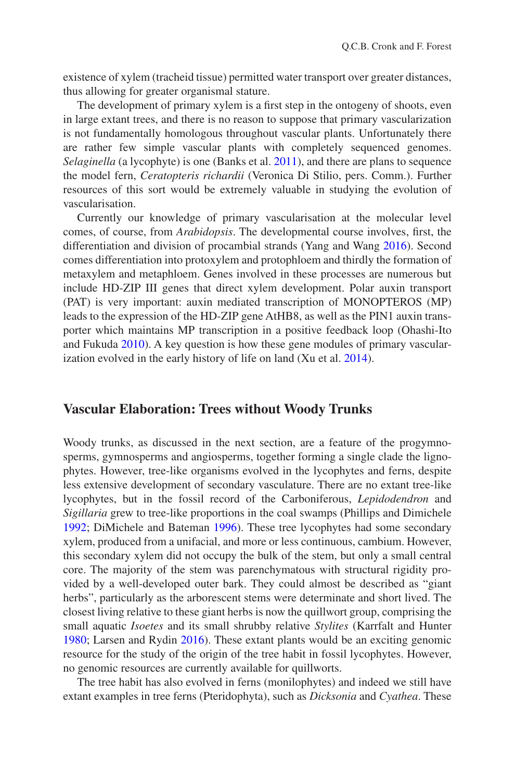existence of xylem (tracheid tissue) permitted water transport over greater distances, thus allowing for greater organismal stature.

The development of primary xylem is a first step in the ontogeny of shoots, even in large extant trees, and there is no reason to suppose that primary vascularization is not fundamentally homologous throughout vascular plants. Unfortunately there are rather few simple vascular plants with completely sequenced genomes. *Selaginella* (a lycophyte) is one (Banks et al. [2011\)](#page-13-1), and there are plans to sequence the model fern, *Ceratopteris richardii* (Veronica Di Stilio, pers. Comm.). Further resources of this sort would be extremely valuable in studying the evolution of vascularisation.

Currently our knowledge of primary vascularisation at the molecular level comes, of course, from *Arabidopsis*. The developmental course involves, first, the differentiation and division of procambial strands (Yang and Wang [2016](#page-16-3)). Second comes differentiation into protoxylem and protophloem and thirdly the formation of metaxylem and metaphloem. Genes involved in these processes are numerous but include HD-ZIP III genes that direct xylem development. Polar auxin transport (PAT) is very important: auxin mediated transcription of MONOPTEROS (MP) leads to the expression of the HD-ZIP gene AtHB8, as well as the PIN1 auxin transporter which maintains MP transcription in a positive feedback loop (Ohashi-Ito and Fukuda [2010](#page-15-7)). A key question is how these gene modules of primary vascular-ization evolved in the early history of life on land (Xu et al. [2014\)](#page-16-0).

#### **Vascular Elaboration: Trees without Woody Trunks**

Woody trunks, as discussed in the next section, are a feature of the progymnosperms, gymnosperms and angiosperms, together forming a single clade the lignophytes. However, tree-like organisms evolved in the lycophytes and ferns, despite less extensive development of secondary vasculature. There are no extant tree-like lycophytes, but in the fossil record of the Carboniferous, *Lepidodendron* and *Sigillaria* grew to tree-like proportions in the coal swamps (Phillips and Dimichele [1992;](#page-15-8) DiMichele and Bateman [1996](#page-14-7)). These tree lycophytes had some secondary xylem, produced from a unifacial, and more or less continuous, cambium. However, this secondary xylem did not occupy the bulk of the stem, but only a small central core. The majority of the stem was parenchymatous with structural rigidity provided by a well-developed outer bark. They could almost be described as "giant herbs", particularly as the arborescent stems were determinate and short lived. The closest living relative to these giant herbs is now the quillwort group, comprising the small aquatic *Isoetes* and its small shrubby relative *Stylites* (Karrfalt and Hunter [1980;](#page-14-8) Larsen and Rydin [2016](#page-15-9)). These extant plants would be an exciting genomic resource for the study of the origin of the tree habit in fossil lycophytes. However, no genomic resources are currently available for quillworts.

The tree habit has also evolved in ferns (monilophytes) and indeed we still have extant examples in tree ferns (Pteridophyta), such as *Dicksonia* and *Cyathea*. These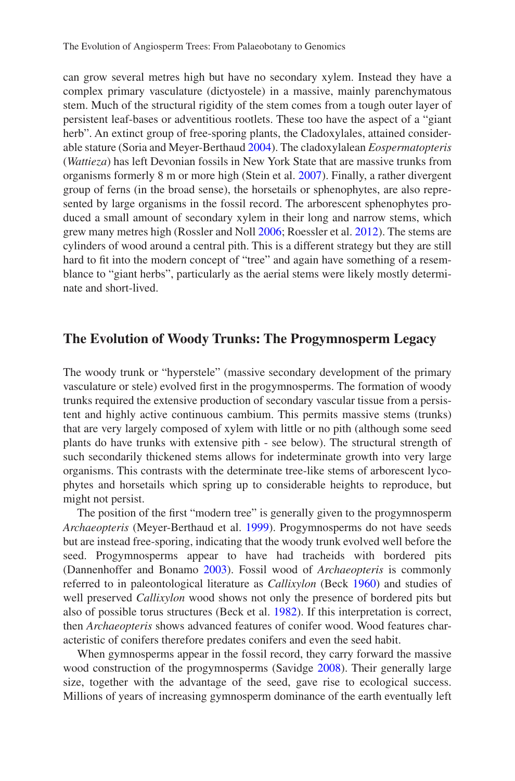can grow several metres high but have no secondary xylem. Instead they have a complex primary vasculature (dictyostele) in a massive, mainly parenchymatous stem. Much of the structural rigidity of the stem comes from a tough outer layer of persistent leaf-bases or adventitious rootlets. These too have the aspect of a "giant herb". An extinct group of free-sporing plants, the Cladoxylales, attained considerable stature (Soria and Meyer-Berthaud [2004\)](#page-16-4). The cladoxylalean *Eospermatopteris* (*Wattieza*) has left Devonian fossils in New York State that are massive trunks from organisms formerly 8 m or more high (Stein et al. [2007\)](#page-16-5). Finally, a rather divergent group of ferns (in the broad sense), the horsetails or sphenophytes, are also represented by large organisms in the fossil record. The arborescent sphenophytes produced a small amount of secondary xylem in their long and narrow stems, which grew many metres high (Rossler and Noll [2006](#page-15-10); Roessler et al. [2012](#page-15-11)). The stems are cylinders of wood around a central pith. This is a different strategy but they are still hard to fit into the modern concept of "tree" and again have something of a resemblance to "giant herbs", particularly as the aerial stems were likely mostly determinate and short-lived.

#### **The Evolution of Woody Trunks: The Progymnosperm Legacy**

The woody trunk or "hyperstele" (massive secondary development of the primary vasculature or stele) evolved first in the progymnosperms. The formation of woody trunks required the extensive production of secondary vascular tissue from a persistent and highly active continuous cambium. This permits massive stems (trunks) that are very largely composed of xylem with little or no pith (although some seed plants do have trunks with extensive pith - see below). The structural strength of such secondarily thickened stems allows for indeterminate growth into very large organisms. This contrasts with the determinate tree-like stems of arborescent lycophytes and horsetails which spring up to considerable heights to reproduce, but might not persist.

The position of the first "modern tree" is generally given to the progymnosperm *Archaeopteris* (Meyer-Berthaud et al. [1999\)](#page-15-12). Progymnosperms do not have seeds but are instead free-sporing, indicating that the woody trunk evolved well before the seed. Progymnosperms appear to have had tracheids with bordered pits (Dannenhoffer and Bonamo [2003\)](#page-14-9). Fossil wood of *Archaeopteris* is commonly referred to in paleontological literature as *Callixylon* (Beck [1960](#page-13-2)) and studies of well preserved *Callixylon* wood shows not only the presence of bordered pits but also of possible torus structures (Beck et al. [1982\)](#page-13-3). If this interpretation is correct, then *Archaeopteris* shows advanced features of conifer wood. Wood features characteristic of conifers therefore predates conifers and even the seed habit.

When gymnosperms appear in the fossil record, they carry forward the massive wood construction of the progymnosperms (Savidge [2008](#page-15-13)). Their generally large size, together with the advantage of the seed, gave rise to ecological success. Millions of years of increasing gymnosperm dominance of the earth eventually left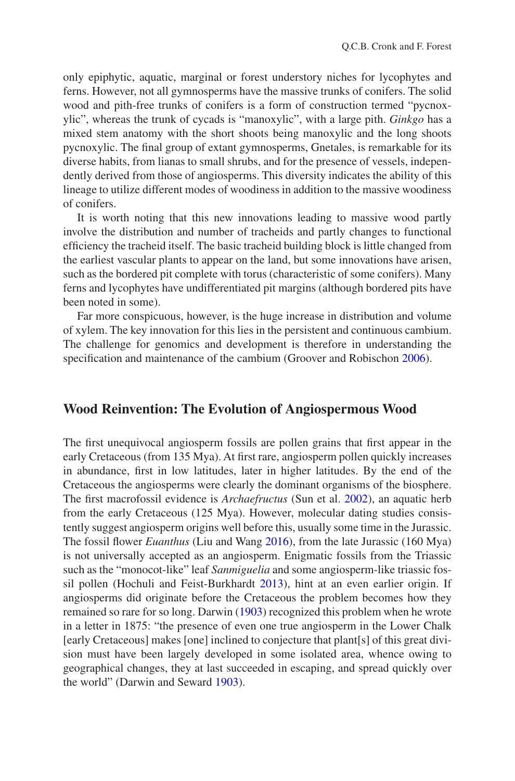only epiphytic, aquatic, marginal or forest understory niches for lycophytes and ferns. However, not all gymnosperms have the massive trunks of conifers. The solid wood and pith-free trunks of conifers is a form of construction termed "pycnoxylic", whereas the trunk of cycads is "manoxylic", with a large pith. *Ginkgo* has a mixed stem anatomy with the short shoots being manoxylic and the long shoots pycnoxylic. The final group of extant gymnosperms, Gnetales, is remarkable for its diverse habits, from lianas to small shrubs, and for the presence of vessels, independently derived from those of angiosperms. This diversity indicates the ability of this lineage to utilize different modes of woodiness in addition to the massive woodiness of conifers.

It is worth noting that this new innovations leading to massive wood partly involve the distribution and number of tracheids and partly changes to functional efficiency the tracheid itself. The basic tracheid building block is little changed from the earliest vascular plants to appear on the land, but some innovations have arisen, such as the bordered pit complete with torus (characteristic of some conifers). Many ferns and lycophytes have undifferentiated pit margins (although bordered pits have been noted in some).

Far more conspicuous, however, is the huge increase in distribution and volume of xylem. The key innovation for this lies in the persistent and continuous cambium. The challenge for genomics and development is therefore in understanding the specification and maintenance of the cambium (Groover and Robischon [2006](#page-14-10)).

#### **Wood Reinvention: The Evolution of Angiospermous Wood**

The first unequivocal angiosperm fossils are pollen grains that first appear in the early Cretaceous (from 135 Mya). At first rare, angiosperm pollen quickly increases in abundance, first in low latitudes, later in higher latitudes. By the end of the Cretaceous the angiosperms were clearly the dominant organisms of the biosphere. The first macrofossil evidence is *Archaefructus* (Sun et al. [2002](#page-16-6)), an aquatic herb from the early Cretaceous (125 Mya). However, molecular dating studies consistently suggest angiosperm origins well before this, usually some time in the Jurassic. The fossil flower *Euanthus* (Liu and Wang [2016\)](#page-15-14), from the late Jurassic (160 Mya) is not universally accepted as an angiosperm. Enigmatic fossils from the Triassic such as the "monocot-like" leaf *Sanmiguelia* and some angiosperm-like triassic fossil pollen (Hochuli and Feist-Burkhardt [2013\)](#page-14-11), hint at an even earlier origin. If angiosperms did originate before the Cretaceous the problem becomes how they remained so rare for so long. Darwin [\(1903](#page-14-12)) recognized this problem when he wrote in a letter in 1875: "the presence of even one true angiosperm in the Lower Chalk [early Cretaceous] makes [one] inclined to conjecture that plant[s] of this great division must have been largely developed in some isolated area, whence owing to geographical changes, they at last succeeded in escaping, and spread quickly over the world" (Darwin and Seward [1903\)](#page-14-12).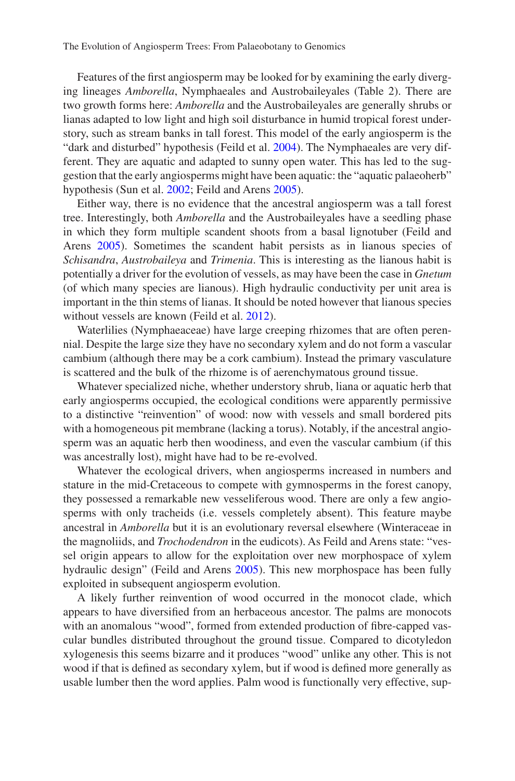Features of the first angiosperm may be looked for by examining the early diverging lineages *Amborella*, Nymphaeales and Austrobaileyales (Table 2). There are two growth forms here: *Amborella* and the Austrobaileyales are generally shrubs or lianas adapted to low light and high soil disturbance in humid tropical forest understory, such as stream banks in tall forest. This model of the early angiosperm is the "dark and disturbed" hypothesis (Feild et al. [2004](#page-14-13)). The Nymphaeales are very different. They are aquatic and adapted to sunny open water. This has led to the suggestion that the early angiosperms might have been aquatic: the "aquatic palaeoherb" hypothesis (Sun et al. [2002](#page-16-6); Feild and Arens [2005\)](#page-14-14).

Either way, there is no evidence that the ancestral angiosperm was a tall forest tree. Interestingly, both *Amborella* and the Austrobaileyales have a seedling phase in which they form multiple scandent shoots from a basal lignotuber (Feild and Arens [2005](#page-14-14)). Sometimes the scandent habit persists as in lianous species of *Schisandra*, *Austrobaileya* and *Trimenia*. This is interesting as the lianous habit is potentially a driver for the evolution of vessels, as may have been the case in *Gnetum* (of which many species are lianous). High hydraulic conductivity per unit area is important in the thin stems of lianas. It should be noted however that lianous species without vessels are known (Feild et al. [2012](#page-14-15)).

Waterlilies (Nymphaeaceae) have large creeping rhizomes that are often perennial. Despite the large size they have no secondary xylem and do not form a vascular cambium (although there may be a cork cambium). Instead the primary vasculature is scattered and the bulk of the rhizome is of aerenchymatous ground tissue.

Whatever specialized niche, whether understory shrub, liana or aquatic herb that early angiosperms occupied, the ecological conditions were apparently permissive to a distinctive "reinvention" of wood: now with vessels and small bordered pits with a homogeneous pit membrane (lacking a torus). Notably, if the ancestral angiosperm was an aquatic herb then woodiness, and even the vascular cambium (if this was ancestrally lost), might have had to be re-evolved.

Whatever the ecological drivers, when angiosperms increased in numbers and stature in the mid-Cretaceous to compete with gymnosperms in the forest canopy, they possessed a remarkable new vesseliferous wood. There are only a few angiosperms with only tracheids (i.e. vessels completely absent). This feature maybe ancestral in *Amborella* but it is an evolutionary reversal elsewhere (Winteraceae in the magnoliids, and *Trochodendron* in the eudicots). As Feild and Arens state: "vessel origin appears to allow for the exploitation over new morphospace of xylem hydraulic design" (Feild and Arens [2005\)](#page-14-14). This new morphospace has been fully exploited in subsequent angiosperm evolution.

A likely further reinvention of wood occurred in the monocot clade, which appears to have diversified from an herbaceous ancestor. The palms are monocots with an anomalous "wood", formed from extended production of fibre-capped vascular bundles distributed throughout the ground tissue. Compared to dicotyledon xylogenesis this seems bizarre and it produces "wood" unlike any other. This is not wood if that is defined as secondary xylem, but if wood is defined more generally as usable lumber then the word applies. Palm wood is functionally very effective, sup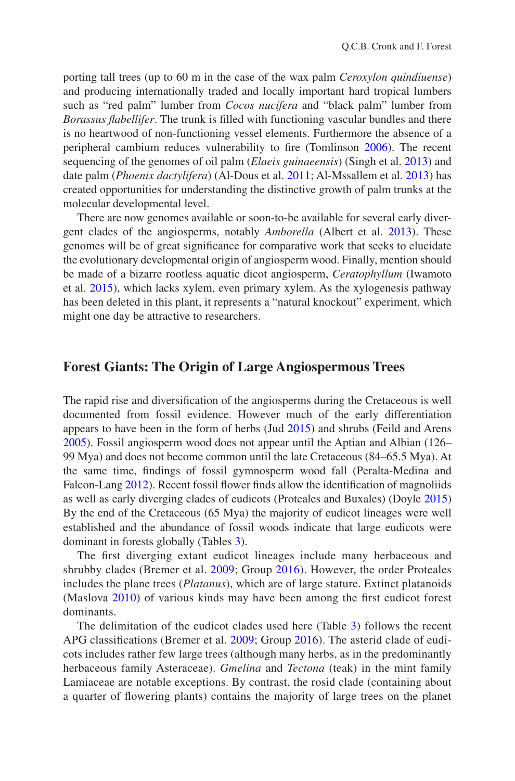porting tall trees (up to 60 m in the case of the wax palm *Ceroxylon quindiuense*) and producing internationally traded and locally important hard tropical lumbers such as "red palm" lumber from *Cocos nucifera* and "black palm" lumber from *Borassus flabellifer*. The trunk is filled with functioning vascular bundles and there is no heartwood of non-functioning vessel elements. Furthermore the absence of a peripheral cambium reduces vulnerability to fire (Tomlinson [2006](#page-16-7)). The recent sequencing of the genomes of oil palm (*Elaeis guinaeensis*) (Singh et al. [2013](#page-15-15)) and date palm (*Phoenix dactylifera*) (Al-Dous et al. [2011](#page-13-4); Al-Mssallem et al. [2013](#page-13-5)) has created opportunities for understanding the distinctive growth of palm trunks at the molecular developmental level.

There are now genomes available or soon-to-be available for several early divergent clades of the angiosperms, notably *Amborella* (Albert et al. [2013\)](#page-13-6). These genomes will be of great significance for comparative work that seeks to elucidate the evolutionary developmental origin of angiosperm wood. Finally, mention should be made of a bizarre rootless aquatic dicot angiosperm, *Ceratophyllum* (Iwamoto et al. [2015\)](#page-14-16), which lacks xylem, even primary xylem. As the xylogenesis pathway has been deleted in this plant, it represents a "natural knockout" experiment, which might one day be attractive to researchers.

#### **Forest Giants: The Origin of Large Angiospermous Trees**

The rapid rise and diversification of the angiosperms during the Cretaceous is well documented from fossil evidence. However much of the early differentiation appears to have been in the form of herbs (Jud [2015](#page-14-17)) and shrubs (Feild and Arens [2005\)](#page-14-14). Fossil angiosperm wood does not appear until the Aptian and Albian (126– 99 Mya) and does not become common until the late Cretaceous (84–65.5 Mya). At the same time, findings of fossil gymnosperm wood fall (Peralta-Medina and Falcon-Lang [2012\)](#page-15-16). Recent fossil flower finds allow the identification of magnoliids as well as early diverging clades of eudicots (Proteales and Buxales) (Doyle [2015](#page-14-18)) By the end of the Cretaceous (65 Mya) the majority of eudicot lineages were well established and the abundance of fossil woods indicate that large eudicots were dominant in forests globally (Tables [3\)](#page-9-0).

The first diverging extant eudicot lineages include many herbaceous and shrubby clades (Bremer et al. [2009](#page-14-19); Group [2016](#page-14-20)). However, the order Proteales includes the plane trees (*Platanus*), which are of large stature. Extinct platanoids (Maslova [2010](#page-15-17)) of various kinds may have been among the first eudicot forest dominants.

The delimitation of the eudicot clades used here (Table [3](#page-9-0)) follows the recent APG classifications (Bremer et al. [2009](#page-14-19); Group [2016\)](#page-14-20). The asterid clade of eudicots includes rather few large trees (although many herbs, as in the predominantly herbaceous family Asteraceae). *Gmelina* and *Tectona* (teak) in the mint family Lamiaceae are notable exceptions. By contrast, the rosid clade (containing about a quarter of flowering plants) contains the majority of large trees on the planet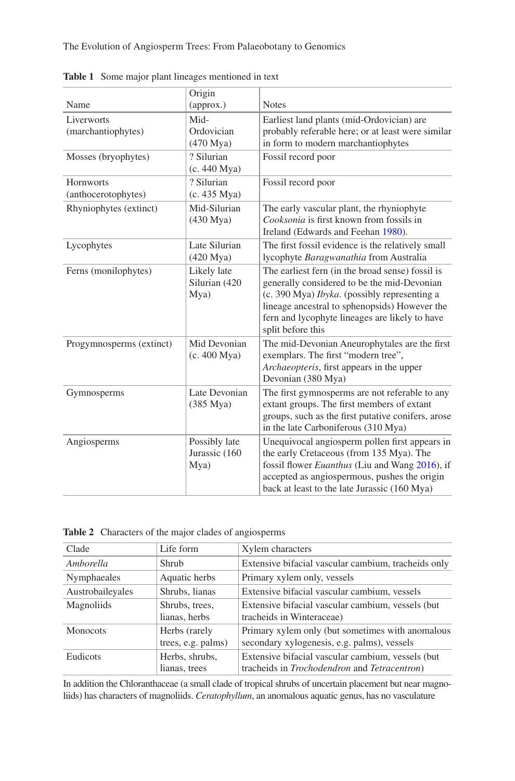|                                         | Origin                                 |                                                                                                                                                                                                                                                                                 |
|-----------------------------------------|----------------------------------------|---------------------------------------------------------------------------------------------------------------------------------------------------------------------------------------------------------------------------------------------------------------------------------|
| Name                                    | (approx.)                              | <b>Notes</b>                                                                                                                                                                                                                                                                    |
| Liverworts<br>(marchantiophytes)        | Mid-<br>Ordovician<br>$(470$ Mya $)$   | Earliest land plants (mid-Ordovician) are<br>probably referable here; or at least were similar<br>in form to modern marchantiophytes                                                                                                                                            |
| Mosses (bryophytes)                     | ? Silurian<br>(c. 440 Mya)             | Fossil record poor                                                                                                                                                                                                                                                              |
| <b>Hornworts</b><br>(anthocerotophytes) | ? Silurian<br>(c. 435 Mya)             | Fossil record poor                                                                                                                                                                                                                                                              |
| Rhyniophytes (extinct)                  | Mid-Silurian<br>$(430 \text{ Mya})$    | The early vascular plant, the rhyniophyte<br>Cooksonia is first known from fossils in<br>Ireland (Edwards and Feehan 1980).                                                                                                                                                     |
| Lycophytes                              | Late Silurian<br>$(420 \text{ Mya})$   | The first fossil evidence is the relatively small<br>lycophyte Baragwanathia from Australia                                                                                                                                                                                     |
| Ferns (monilophytes)                    | Likely late<br>Silurian (420<br>Mya)   | The earliest fern (in the broad sense) fossil is<br>generally considered to be the mid-Devonian<br>(c. 390 Mya) <i>Ibyka</i> . (possibly representing a<br>lineage ancestral to sphenopsids) However the<br>fern and lycophyte lineages are likely to have<br>split before this |
| Progymnosperms (extinct)                | Mid Devonian<br>$(c. 400 \text{ Mya})$ | The mid-Devonian Aneurophytales are the first<br>exemplars. The first "modern tree",<br><i>Archaeopteris</i> , first appears in the upper<br>Devonian (380 Mya)                                                                                                                 |
| Gymnosperms                             | Late Devonian<br>$(385 \text{ Mya})$   | The first gymnosperms are not referable to any<br>extant groups. The first members of extant<br>groups, such as the first putative conifers, arose<br>in the late Carboniferous (310 Mya)                                                                                       |
| Angiosperms                             | Possibly late<br>Jurassic (160<br>Mya) | Unequivocal angiosperm pollen first appears in<br>the early Cretaceous (from 135 Mya). The<br>fossil flower Euanthus (Liu and Wang 2016), if<br>accepted as angiospermous, pushes the origin<br>back at least to the late Jurassic (160 Mya)                                    |

<span id="page-8-0"></span>**Table 1** Some major plant lineages mentioned in text

|  |  |  | <b>Table 2</b> Characters of the major clades of angiosperms |
|--|--|--|--------------------------------------------------------------|
|  |  |  |                                                              |

| Clade            | Life form                           | Xylem characters                                                                                                  |
|------------------|-------------------------------------|-------------------------------------------------------------------------------------------------------------------|
| Amborella        | Shrub                               | Extensive bifacial vascular cambium, tracheids only                                                               |
| Nymphaeales      | Aquatic herbs                       | Primary xylem only, vessels                                                                                       |
| Austrobaileyales | Shrubs, lianas                      | Extensive bifacial vascular cambium, vessels                                                                      |
| Magnoliids       | Shrubs, trees,<br>lianas, herbs     | Extensive bifacial vascular cambium, vessels (but)<br>tracheids in Winteraceae)                                   |
| <b>Monocots</b>  | Herbs (rarely<br>trees, e.g. palms) | Primary xylem only (but sometimes with anomalous<br>secondary xylogenesis, e.g. palms), vessels                   |
| <b>Eudicots</b>  | Herbs, shrubs,<br>lianas, trees     | Extensive bifacial vascular cambium, vessels (but)<br>tracheids in <i>Trochodendron</i> and <i>Tetracentron</i> ) |

In addition the Chloranthaceae (a small clade of tropical shrubs of uncertain placement but near magnoliids) has characters of magnoliids. *Ceratophyllum*, an anomalous aquatic genus, has no vasculature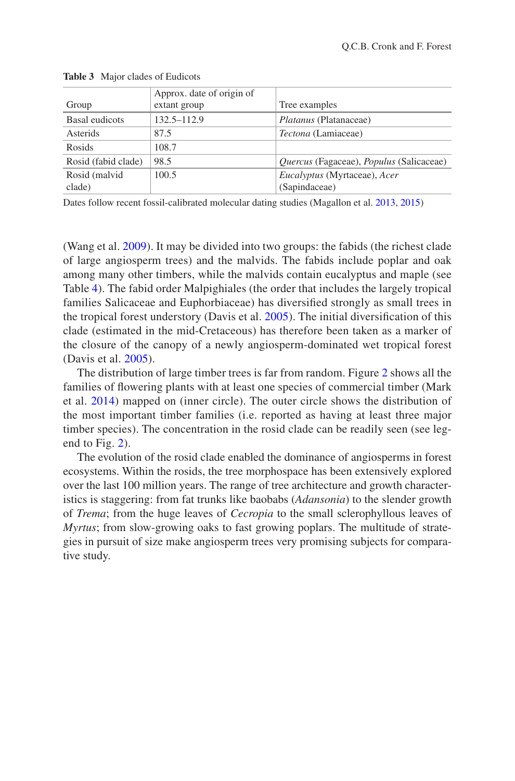|                     | Approx. date of origin of |                                          |
|---------------------|---------------------------|------------------------------------------|
| Group               | extant group              | Tree examples                            |
| Basal eudicots      | 132.5–112.9               | <i>Platanus</i> (Platanaceae)            |
| Asterids            | 87.5                      | Tectona (Lamiaceae)                      |
| Rosids              | 108.7                     |                                          |
| Rosid (fabid clade) | 98.5                      | Quercus (Fagaceae), Populus (Salicaceae) |
| Rosid (malvid       | 100.5                     | Eucalyptus (Myrtaceae), Acer             |
| clade)              |                           | (Sapindaceae)                            |

<span id="page-9-0"></span>**Table 3** Major clades of Eudicots

Dates follow recent fossil-calibrated molecular dating studies (Magallon et al. [2013,](#page-15-19) [2015\)](#page-15-20)

(Wang et al. [2009](#page-16-8)). It may be divided into two groups: the fabids (the richest clade of large angiosperm trees) and the malvids. The fabids include poplar and oak among many other timbers, while the malvids contain eucalyptus and maple (see Table [4\)](#page-10-0). The fabid order Malpighiales (the order that includes the largely tropical families Salicaceae and Euphorbiaceae) has diversified strongly as small trees in the tropical forest understory (Davis et al. [2005](#page-14-22)). The initial diversification of this clade (estimated in the mid-Cretaceous) has therefore been taken as a marker of the closure of the canopy of a newly angiosperm-dominated wet tropical forest (Davis et al. [2005\)](#page-14-22).

The distribution of large timber trees is far from random. Figure [2](#page-12-0) shows all the families of flowering plants with at least one species of commercial timber (Mark et al. [2014](#page-15-18)) mapped on (inner circle). The outer circle shows the distribution of the most important timber families (i.e. reported as having at least three major timber species). The concentration in the rosid clade can be readily seen (see legend to Fig. [2\)](#page-12-0).

The evolution of the rosid clade enabled the dominance of angiosperms in forest ecosystems. Within the rosids, the tree morphospace has been extensively explored over the last 100 million years. The range of tree architecture and growth characteristics is staggering: from fat trunks like baobabs (*Adansonia*) to the slender growth of *Trema*; from the huge leaves of *Cecropia* to the small sclerophyllous leaves of *Myrtus*; from slow-growing oaks to fast growing poplars. The multitude of strategies in pursuit of size make angiosperm trees very promising subjects for comparative study.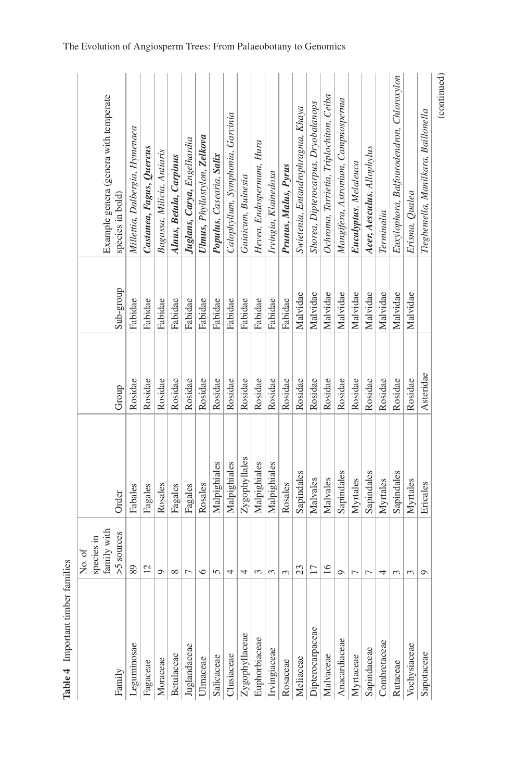|                  | family with<br>species in<br>No.of |               |           |           | Example genera (genera with temperate     |
|------------------|------------------------------------|---------------|-----------|-----------|-------------------------------------------|
| Family           | >5 sources                         | Order         | Group     | Sub-group | species in bold)                          |
| Leguminosae      | 89                                 | Fabales       | Rosidae   | Fabidae   | Millettia, Dalbergia, Hymenaea            |
| Fagaceae         | $\overline{c}$                     | Fagales       | Rosidae   | Fabidae   | Castanea, Fagus, Quercus                  |
| Moraceae         | Ó                                  | Rosales       | Rosidae   | Fabidae   | Bagassa, Milicia, Antiaris                |
| Betulaceae       | $\infty$                           | Fagales       | Rosidae   | Fabidae   | Alnus, Betula, Carpinus                   |
| Juglandaceae     | Γ                                  | Fagales       | Rosidae   | Fabidae   | Juglans, Carya, Engelhardia               |
| JImaceae         | $\circ$                            | Rosales       | Rosidae   | Fabidae   | Ulmus, Phyllostylon, Zelkova              |
| Salicaceae       | 5                                  | Malpighiales  | Rosidae   | Fabidae   | Populus, Casearia, Salix                  |
| Clusiaceae       | 4                                  | Malpighiales  | Rosidae   | Fabidae   | Calophyllum, Symphonia, Garcinia          |
| Zygophyllaceae   | 4                                  | Zygophyllales | Rosidae   | Fabidae   | Guiaicum, Bulnesia                        |
| Euphorbiaceae    | 3                                  | Malpighiales  | Rosidae   | Fabidae   | Hevea, Endospermum, Hura                  |
| Irvingiaceae     | 3                                  | Malpighiales  | Rosidae   | Fabidae   | Irvingia, Klainedoxa                      |
| Rosaceae         | 3                                  | Rosales       | Rosidae   | Fabidae   | Prunus, Malus, Pyrus                      |
| Meliaceae        | 23                                 | Sapindales    | Rosidae   | Malvidae  | Swietenia, Entandrophragma, Khaya         |
| Dipterocarpaceae | $\overline{17}$                    | Malvales      | Rosidae   | Malvidae  | Shorea, Dipterocarpus, Dryobalanops       |
| Malvaceae        | 16                                 | Malvales      | Rosidae   | Malvidae  | Ochroma, Tarrietia, Triplochiton, Ceiba   |
| Anacardiaceae    | 0                                  | Sapindales    | Rosidae   | Malvidae  | Mangifera, Astronium, Campnosperma        |
| Myrtaceae        | ┌                                  | Myrtales      | Rosidae   | Malvidae  | Eucalyptus, Melaleuca                     |
| Sapindaceae      | ┍                                  | Sapindales    | Rosidae   | Malvidae  | Acer, Aesculus, Allophylus                |
| Combretaceae     | 4                                  | Myrtales      | Rosidae   | Malvidae  | Terminalia                                |
| Rutaceae         | S                                  | Sapindales    | Rosidae   | Malvidae  | Euxylophora, Balfourodendron, Chloroxylon |
| Vochysiaceae     | S                                  | Myrtales      | Rosidae   | Malvidae  | Erisma, Qualea                            |
| Sapotaceae       | ⊝                                  | Ericales      | Asteridae |           | Tieghemella, Manilkara, Baillonella       |
|                  |                                    |               |           |           | (continued)                               |

<span id="page-10-0"></span>Table 4 Important timber families **Table 4** Important timber families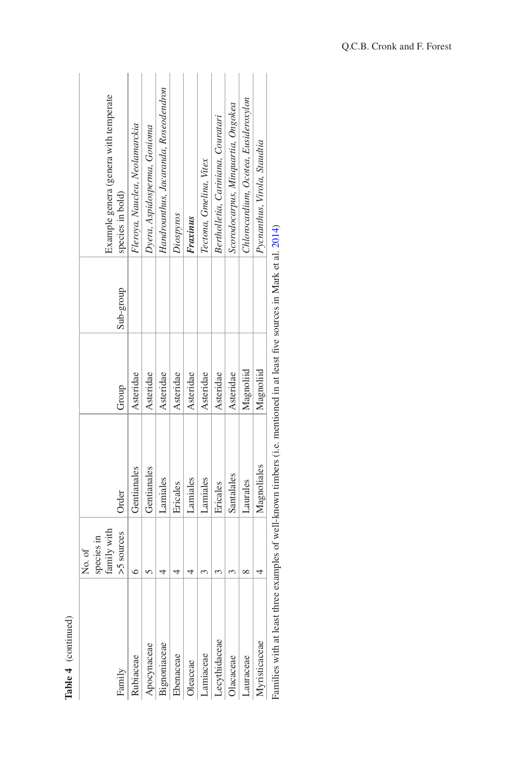| ì |  |
|---|--|
|   |  |

|                                                                                                                              | No. of      |             |           |           |                                        |
|------------------------------------------------------------------------------------------------------------------------------|-------------|-------------|-----------|-----------|----------------------------------------|
|                                                                                                                              | species in  |             |           |           |                                        |
|                                                                                                                              | family with |             |           |           | Example genera (genera with temperate  |
| Family                                                                                                                       | >5 sources  | Order       | Group     | Sub-group | species in bold)                       |
| Rubiaceae                                                                                                                    |             | Gentianales | Asteridae |           | Fleroya, Nauclea, Neolamarckia         |
| Apocynaceae                                                                                                                  |             | Gentianales | Asteridae |           | Dyera, Aspidosperma, Gonioma           |
| Bignoniaceae                                                                                                                 |             | Lamiales    | Asteridae |           | Handroanthus, Jacaranda, Rose odendron |
| Ebenaceae                                                                                                                    |             | Ericales    | Asteridae |           | Diospyros                              |
| Dleaceae                                                                                                                     |             | Lamiales    | Asteridae |           | Fraxinus                               |
| amiaceae                                                                                                                     |             | Lamiales    | Asteridae |           | Tectona, Gmelina, Vitex                |
| ecythidaceae                                                                                                                 |             | Ericales    | Asteridae |           | Bertholletia, Cariniana, Couratari     |
| <b>J</b> acaceae                                                                                                             |             | Santalales  | Asteridae |           | Scorodocarpus, Minquartia, Ongokea     |
| -auraceae                                                                                                                    |             | Laurales    | Magnoliid |           | Chlorocardium, Ocotea, Eusideroxylon   |
| Myristicaceae                                                                                                                |             | Magnoliales | Magnoliid |           | Pycnanthus, Virola, Staudtia           |
| Eamilies with at least three examples of well-known timbers (i.e. mentioned in at least five sources in Mark et al. $2014$ ) |             |             |           |           |                                        |

Families with at least three examples of well-known timbers (i.e. mentioned in at least five sources in Mark et al. [2014\)](#page-15-18)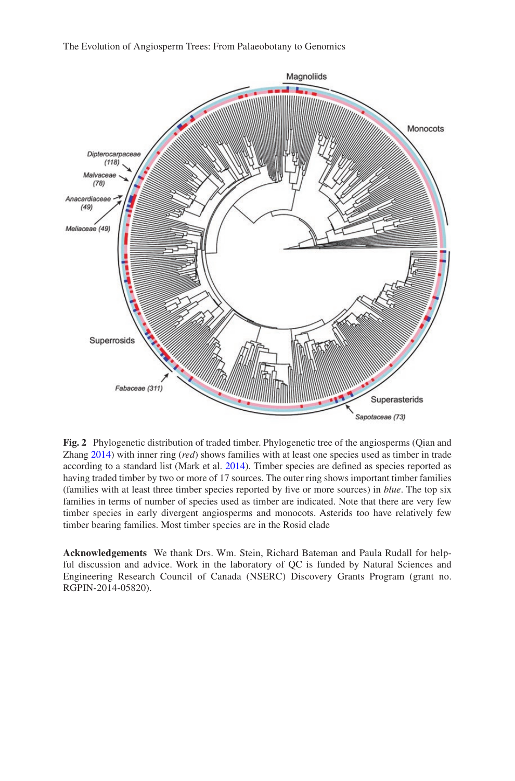The Evolution of Angiosperm Trees: From Palaeobotany to Genomics

<span id="page-12-0"></span>

**Fig. 2** Phylogenetic distribution of traded timber. Phylogenetic tree of the angiosperms (Qian and Zhang [2014\)](#page-15-21) with inner ring (*red*) shows families with at least one species used as timber in trade according to a standard list (Mark et al. [2014](#page-15-18)). Timber species are defined as species reported as having traded timber by two or more of 17 sources. The outer ring shows important timber families (families with at least three timber species reported by five or more sources) in *blue*. The top six families in terms of number of species used as timber are indicated. Note that there are very few timber species in early divergent angiosperms and monocots. Asterids too have relatively few timber bearing families. Most timber species are in the Rosid clade

**Acknowledgements** We thank Drs. Wm. Stein, Richard Bateman and Paula Rudall for helpful discussion and advice. Work in the laboratory of QC is funded by Natural Sciences and Engineering Research Council of Canada (NSERC) Discovery Grants Program (grant no. RGPIN-2014-05820).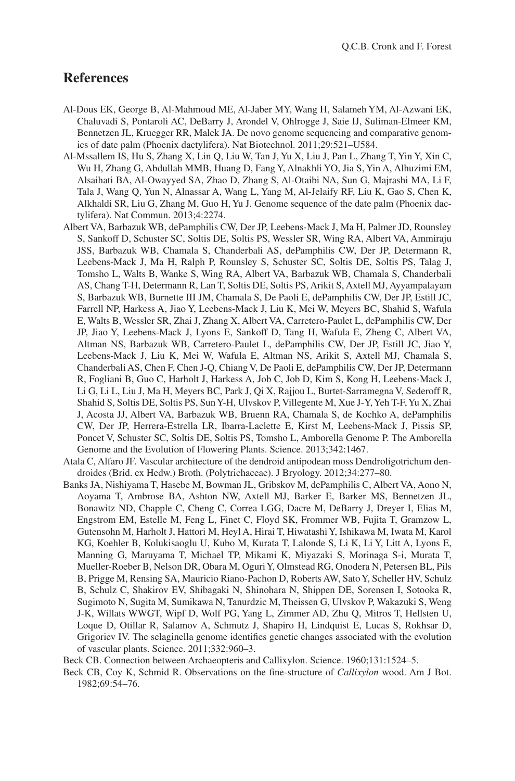#### **References**

- <span id="page-13-4"></span>Al-Dous EK, George B, Al-Mahmoud ME, Al-Jaber MY, Wang H, Salameh YM, Al-Azwani EK, Chaluvadi S, Pontaroli AC, DeBarry J, Arondel V, Ohlrogge J, Saie IJ, Suliman-Elmeer KM, Bennetzen JL, Kruegger RR, Malek JA. De novo genome sequencing and comparative genomics of date palm (Phoenix dactylifera). Nat Biotechnol. 2011;29:521–U584.
- <span id="page-13-5"></span>Al-Mssallem IS, Hu S, Zhang X, Lin Q, Liu W, Tan J, Yu X, Liu J, Pan L, Zhang T, Yin Y, Xin C, Wu H, Zhang G, Abdullah MMB, Huang D, Fang Y, Alnakhli YO, Jia S, Yin A, Alhuzimi EM, Alsaihati BA, Al-Owayyed SA, Zhao D, Zhang S, Al-Otaibi NA, Sun G, Majrashi MA, Li F, Tala J, Wang Q, Yun N, Alnassar A, Wang L, Yang M, Al-Jelaify RF, Liu K, Gao S, Chen K, Alkhaldi SR, Liu G, Zhang M, Guo H, Yu J. Genome sequence of the date palm (Phoenix dactylifera). Nat Commun. 2013;4:2274.
- <span id="page-13-6"></span>Albert VA, Barbazuk WB, dePamphilis CW, Der JP, Leebens-Mack J, Ma H, Palmer JD, Rounsley S, Sankoff D, Schuster SC, Soltis DE, Soltis PS, Wessler SR, Wing RA, Albert VA, Ammiraju JSS, Barbazuk WB, Chamala S, Chanderbali AS, dePamphilis CW, Der JP, Determann R, Leebens-Mack J, Ma H, Ralph P, Rounsley S, Schuster SC, Soltis DE, Soltis PS, Talag J, Tomsho L, Walts B, Wanke S, Wing RA, Albert VA, Barbazuk WB, Chamala S, Chanderbali AS, Chang T-H, Determann R, Lan T, Soltis DE, Soltis PS, Arikit S, Axtell MJ, Ayyampalayam S, Barbazuk WB, Burnette III JM, Chamala S, De Paoli E, dePamphilis CW, Der JP, Estill JC, Farrell NP, Harkess A, Jiao Y, Leebens-Mack J, Liu K, Mei W, Meyers BC, Shahid S, Wafula E, Walts B, Wessler SR, Zhai J, Zhang X, Albert VA, Carretero-Paulet L, dePamphilis CW, Der JP, Jiao Y, Leebens-Mack J, Lyons E, Sankoff D, Tang H, Wafula E, Zheng C, Albert VA, Altman NS, Barbazuk WB, Carretero-Paulet L, dePamphilis CW, Der JP, Estill JC, Jiao Y, Leebens-Mack J, Liu K, Mei W, Wafula E, Altman NS, Arikit S, Axtell MJ, Chamala S, Chanderbali AS, Chen F, Chen J-Q, Chiang V, De Paoli E, dePamphilis CW, Der JP, Determann R, Fogliani B, Guo C, Harholt J, Harkess A, Job C, Job D, Kim S, Kong H, Leebens-Mack J, Li G, Li L, Liu J, Ma H, Meyers BC, Park J, Qi X, Rajjou L, Burtet-Sarramegna V, Sederoff R, Shahid S, Soltis DE, Soltis PS, Sun Y-H, Ulvskov P, Villegente M, Xue J-Y, Yeh T-F, Yu X, Zhai J, Acosta JJ, Albert VA, Barbazuk WB, Bruenn RA, Chamala S, de Kochko A, dePamphilis CW, Der JP, Herrera-Estrella LR, Ibarra-Laclette E, Kirst M, Leebens-Mack J, Pissis SP, Poncet V, Schuster SC, Soltis DE, Soltis PS, Tomsho L, Amborella Genome P. The Amborella Genome and the Evolution of Flowering Plants. Science. 2013;342:1467.
- <span id="page-13-0"></span>Atala C, Alfaro JF. Vascular architecture of the dendroid antipodean moss Dendroligotrichum dendroides (Brid. ex Hedw.) Broth. (Polytrichaceae). J Bryology. 2012;34:277–80.
- <span id="page-13-1"></span>Banks JA, Nishiyama T, Hasebe M, Bowman JL, Gribskov M, dePamphilis C, Albert VA, Aono N, Aoyama T, Ambrose BA, Ashton NW, Axtell MJ, Barker E, Barker MS, Bennetzen JL, Bonawitz ND, Chapple C, Cheng C, Correa LGG, Dacre M, DeBarry J, Dreyer I, Elias M, Engstrom EM, Estelle M, Feng L, Finet C, Floyd SK, Frommer WB, Fujita T, Gramzow L, Gutensohn M, Harholt J, Hattori M, Heyl A, Hirai T, Hiwatashi Y, Ishikawa M, Iwata M, Karol KG, Koehler B, Kolukisaoglu U, Kubo M, Kurata T, Lalonde S, Li K, Li Y, Litt A, Lyons E, Manning G, Maruyama T, Michael TP, Mikami K, Miyazaki S, Morinaga S-i, Murata T, Mueller-Roeber B, Nelson DR, Obara M, Oguri Y, Olmstead RG, Onodera N, Petersen BL, Pils B, Prigge M, Rensing SA, Mauricio Riano-Pachon D, Roberts AW, Sato Y, Scheller HV, Schulz B, Schulz C, Shakirov EV, Shibagaki N, Shinohara N, Shippen DE, Sorensen I, Sotooka R, Sugimoto N, Sugita M, Sumikawa N, Tanurdzic M, Theissen G, Ulvskov P, Wakazuki S, Weng J-K, Willats WWGT, Wipf D, Wolf PG, Yang L, Zimmer AD, Zhu Q, Mitros T, Hellsten U, Loque D, Otillar R, Salamov A, Schmutz J, Shapiro H, Lindquist E, Lucas S, Rokhsar D, Grigoriev IV. The selaginella genome identifies genetic changes associated with the evolution of vascular plants. Science. 2011;332:960–3.
- <span id="page-13-2"></span>Beck CB. Connection between Archaeopteris and Callixylon. Science. 1960;131:1524–5.
- <span id="page-13-3"></span>Beck CB, Coy K, Schmid R. Observations on the fine-structure of *Callixylon* wood. Am J Bot. 1982;69:54–76.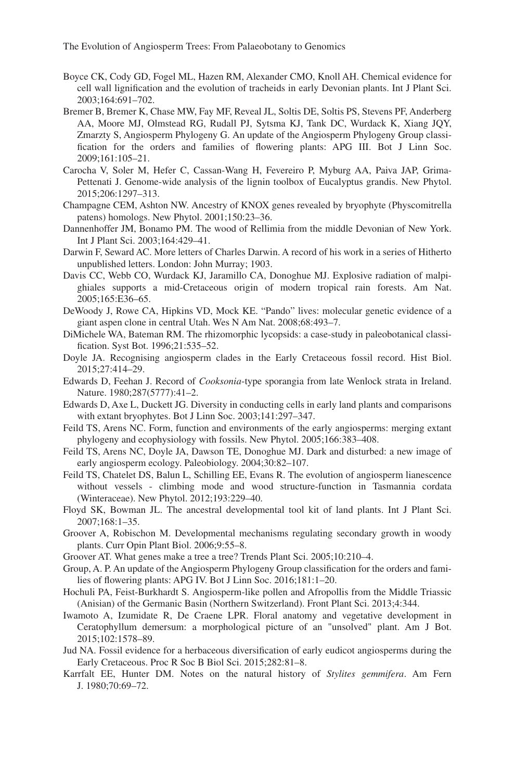- <span id="page-14-6"></span>Boyce CK, Cody GD, Fogel ML, Hazen RM, Alexander CMO, Knoll AH. Chemical evidence for cell wall lignification and the evolution of tracheids in early Devonian plants. Int J Plant Sci. 2003;164:691–702.
- <span id="page-14-19"></span>Bremer B, Bremer K, Chase MW, Fay MF, Reveal JL, Soltis DE, Soltis PS, Stevens PF, Anderberg AA, Moore MJ, Olmstead RG, Rudall PJ, Sytsma KJ, Tank DC, Wurdack K, Xiang JQY, Zmarzty S, Angiosperm Phylogeny G. An update of the Angiosperm Phylogeny Group classification for the orders and families of flowering plants: APG III. Bot J Linn Soc. 2009;161:105–21.
- <span id="page-14-2"></span>Carocha V, Soler M, Hefer C, Cassan-Wang H, Fevereiro P, Myburg AA, Paiva JAP, Grima-Pettenati J. Genome-wide analysis of the lignin toolbox of Eucalyptus grandis. New Phytol. 2015;206:1297–313.
- <span id="page-14-4"></span>Champagne CEM, Ashton NW. Ancestry of KNOX genes revealed by bryophyte (Physcomitrella patens) homologs. New Phytol. 2001;150:23–36.
- <span id="page-14-9"></span>Dannenhoffer JM, Bonamo PM. The wood of Rellimia from the middle Devonian of New York. Int J Plant Sci. 2003;164:429–41.
- <span id="page-14-12"></span>Darwin F, Seward AC. More letters of Charles Darwin. A record of his work in a series of Hitherto unpublished letters. London: John Murray; 1903.
- <span id="page-14-22"></span>Davis CC, Webb CO, Wurdack KJ, Jaramillo CA, Donoghue MJ. Explosive radiation of malpighiales supports a mid-Cretaceous origin of modern tropical rain forests. Am Nat. 2005;165:E36–65.
- <span id="page-14-0"></span>DeWoody J, Rowe CA, Hipkins VD, Mock KE. "Pando" lives: molecular genetic evidence of a giant aspen clone in central Utah. Wes N Am Nat. 2008;68:493–7.
- <span id="page-14-7"></span>DiMichele WA, Bateman RM. The rhizomorphic lycopsids: a case-study in paleobotanical classification. Syst Bot. 1996;21:535–52.
- <span id="page-14-18"></span>Doyle JA. Recognising angiosperm clades in the Early Cretaceous fossil record. Hist Biol. 2015;27:414–29.
- <span id="page-14-21"></span>Edwards D, Feehan J. Record of *Cooksonia*-type sporangia from late Wenlock strata in Ireland. Nature. 1980;287(5777):41–2.
- <span id="page-14-5"></span>Edwards D, Axe L, Duckett JG. Diversity in conducting cells in early land plants and comparisons with extant bryophytes. Bot J Linn Soc. 2003;141:297–347.
- <span id="page-14-14"></span>Feild TS, Arens NC. Form, function and environments of the early angiosperms: merging extant phylogeny and ecophysiology with fossils. New Phytol. 2005;166:383–408.
- <span id="page-14-13"></span>Feild TS, Arens NC, Doyle JA, Dawson TE, Donoghue MJ. Dark and disturbed: a new image of early angiosperm ecology. Paleobiology. 2004;30:82–107.
- <span id="page-14-15"></span>Feild TS, Chatelet DS, Balun L, Schilling EE, Evans R. The evolution of angiosperm lianescence without vessels - climbing mode and wood structure-function in Tasmannia cordata (Winteraceae). New Phytol. 2012;193:229–40.
- <span id="page-14-3"></span>Floyd SK, Bowman JL. The ancestral developmental tool kit of land plants. Int J Plant Sci. 2007;168:1–35.
- <span id="page-14-10"></span>Groover A, Robischon M. Developmental mechanisms regulating secondary growth in woody plants. Curr Opin Plant Biol. 2006;9:55–8.
- <span id="page-14-1"></span>Groover AT. What genes make a tree a tree? Trends Plant Sci. 2005;10:210–4.
- <span id="page-14-20"></span>Group, A. P. An update of the Angiosperm Phylogeny Group classification for the orders and families of flowering plants: APG IV. Bot J Linn Soc. 2016;181:1–20.
- <span id="page-14-11"></span>Hochuli PA, Feist-Burkhardt S. Angiosperm-like pollen and Afropollis from the Middle Triassic (Anisian) of the Germanic Basin (Northern Switzerland). Front Plant Sci. 2013;4:344.
- <span id="page-14-16"></span>Iwamoto A, Izumidate R, De Craene LPR. Floral anatomy and vegetative development in Ceratophyllum demersum: a morphological picture of an "unsolved" plant. Am J Bot. 2015;102:1578–89.
- <span id="page-14-17"></span>Jud NA. Fossil evidence for a herbaceous diversification of early eudicot angiosperms during the Early Cretaceous. Proc R Soc B Biol Sci. 2015;282:81–8.
- <span id="page-14-8"></span>Karrfalt EE, Hunter DM. Notes on the natural history of *Stylites gemmifera*. Am Fern J. 1980;70:69–72.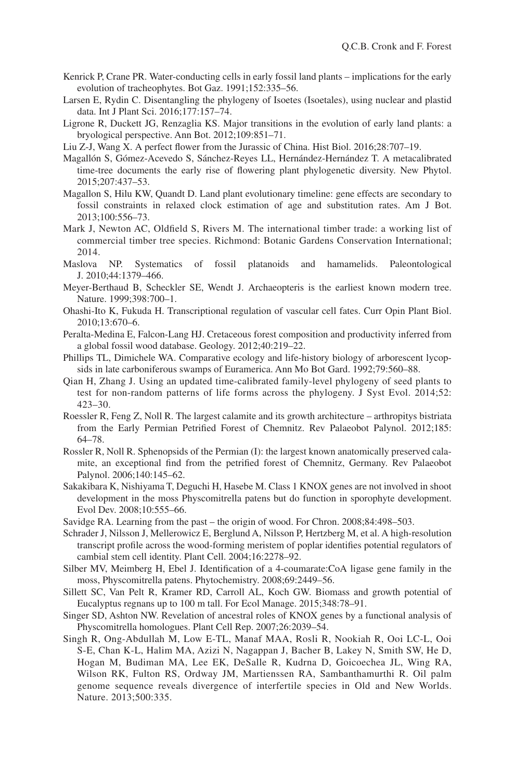- <span id="page-15-6"></span>Kenrick P, Crane PR. Water-conducting cells in early fossil land plants – implications for the early evolution of tracheophytes. Bot Gaz. 1991;152:335–56.
- <span id="page-15-9"></span>Larsen E, Rydin C. Disentangling the phylogeny of Isoetes (Isoetales), using nuclear and plastid data. Int J Plant Sci. 2016;177:157–74.
- <span id="page-15-5"></span>Ligrone R, Duckett JG, Renzaglia KS. Major transitions in the evolution of early land plants: a bryological perspective. Ann Bot. 2012;109:851–71.
- <span id="page-15-14"></span>Liu Z-J, Wang X. A perfect flower from the Jurassic of China. Hist Biol. 2016;28:707–19.
- <span id="page-15-20"></span>Magallón S, Gómez-Acevedo S, Sánchez-Reyes LL, Hernández-Hernández T. A metacalibrated time-tree documents the early rise of flowering plant phylogenetic diversity. New Phytol. 2015;207:437–53.
- <span id="page-15-19"></span>Magallon S, Hilu KW, Quandt D. Land plant evolutionary timeline: gene effects are secondary to fossil constraints in relaxed clock estimation of age and substitution rates. Am J Bot. 2013;100:556–73.
- <span id="page-15-18"></span>Mark J, Newton AC, Oldfield S, Rivers M. The international timber trade: a working list of commercial timber tree species. Richmond: Botanic Gardens Conservation International; 2014.
- <span id="page-15-17"></span>Maslova NP. Systematics of fossil platanoids and hamamelids. Paleontological J. 2010;44:1379–466.
- <span id="page-15-12"></span>Meyer-Berthaud B, Scheckler SE, Wendt J. Archaeopteris is the earliest known modern tree. Nature. 1999;398:700–1.
- <span id="page-15-7"></span>Ohashi-Ito K, Fukuda H. Transcriptional regulation of vascular cell fates. Curr Opin Plant Biol. 2010;13:670–6.
- <span id="page-15-16"></span>Peralta-Medina E, Falcon-Lang HJ. Cretaceous forest composition and productivity inferred from a global fossil wood database. Geology. 2012;40:219–22.
- <span id="page-15-8"></span>Phillips TL, Dimichele WA. Comparative ecology and life-history biology of arborescent lycopsids in late carboniferous swamps of Euramerica. Ann Mo Bot Gard. 1992;79:560–88.
- <span id="page-15-21"></span>Qian H, Zhang J. Using an updated time-calibrated family-level phylogeny of seed plants to test for non-random patterns of life forms across the phylogeny. J Syst Evol. 2014;52: 423–30.
- <span id="page-15-11"></span>Roessler R, Feng Z, Noll R. The largest calamite and its growth architecture – arthropitys bistriata from the Early Permian Petrified Forest of Chemnitz. Rev Palaeobot Palynol. 2012;185: 64–78.
- <span id="page-15-10"></span>Rossler R, Noll R. Sphenopsids of the Permian (I): the largest known anatomically preserved calamite, an exceptional find from the petrified forest of Chemnitz, Germany. Rev Palaeobot Palynol. 2006;140:145–62.
- <span id="page-15-3"></span>Sakakibara K, Nishiyama T, Deguchi H, Hasebe M. Class 1 KNOX genes are not involved in shoot development in the moss Physcomitrella patens but do function in sporophyte development. Evol Dev. 2008;10:555–66.
- <span id="page-15-13"></span>Savidge RA. Learning from the past – the origin of wood. For Chron. 2008;84:498–503.
- <span id="page-15-1"></span>Schrader J, Nilsson J, Mellerowicz E, Berglund A, Nilsson P, Hertzberg M, et al. A high-resolution transcript profile across the wood-forming meristem of poplar identifies potential regulators of cambial stem cell identity. Plant Cell. 2004;16:2278–92.
- <span id="page-15-4"></span>Silber MV, Meimberg H, Ebel J. Identification of a 4-coumarate:CoA ligase gene family in the moss, Physcomitrella patens. Phytochemistry. 2008;69:2449–56.
- <span id="page-15-0"></span>Sillett SC, Van Pelt R, Kramer RD, Carroll AL, Koch GW. Biomass and growth potential of Eucalyptus regnans up to 100 m tall. For Ecol Manage. 2015;348:78–91.
- <span id="page-15-2"></span>Singer SD, Ashton NW. Revelation of ancestral roles of KNOX genes by a functional analysis of Physcomitrella homologues. Plant Cell Rep. 2007;26:2039–54.
- <span id="page-15-15"></span>Singh R, Ong-Abdullah M, Low E-TL, Manaf MAA, Rosli R, Nookiah R, Ooi LC-L, Ooi S-E, Chan K-L, Halim MA, Azizi N, Nagappan J, Bacher B, Lakey N, Smith SW, He D, Hogan M, Budiman MA, Lee EK, DeSalle R, Kudrna D, Goicoechea JL, Wing RA, Wilson RK, Fulton RS, Ordway JM, Martienssen RA, Sambanthamurthi R. Oil palm genome sequence reveals divergence of interfertile species in Old and New Worlds. Nature. 2013;500:335.